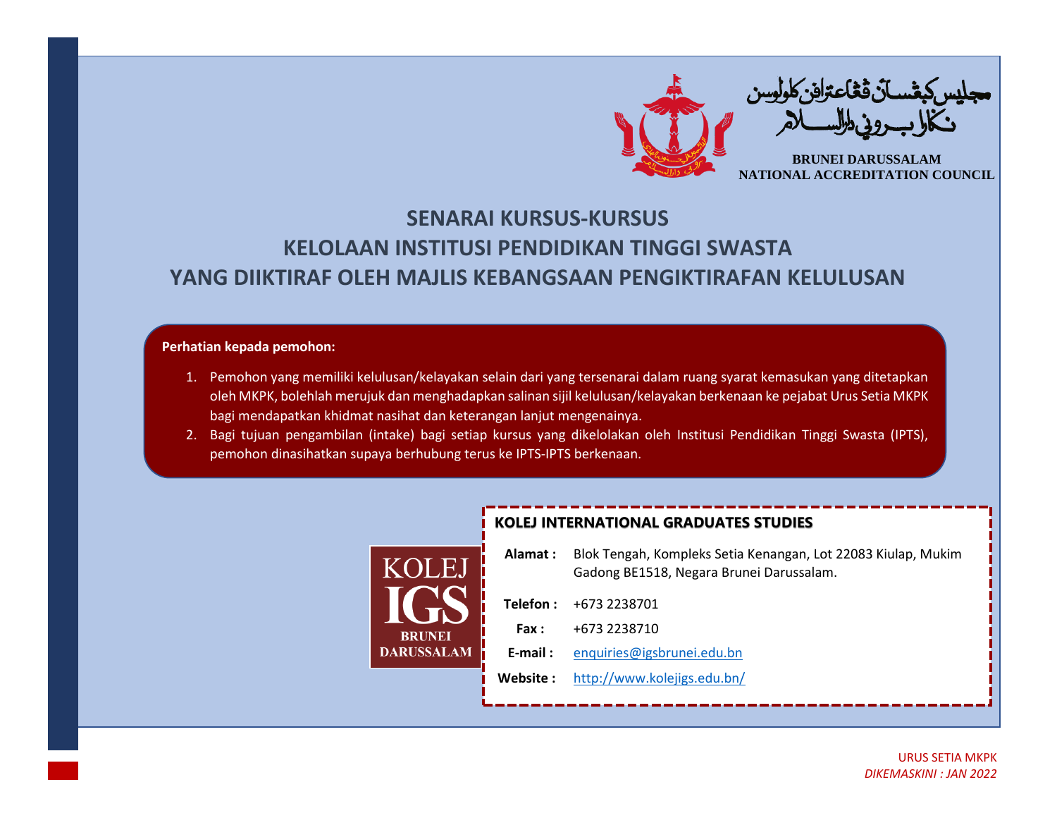

## **SENARAI KURSUS-KURSUS KELOLAAN INSTITUSI PENDIDIKAN TINGGI SWASTA YANG DIIKTIRAF OLEH MAJLIS KEBANGSAAN PENGIKTIRAFAN KELULUSAN**

## **Perhatian kepada pemohon:**

DAI

- 1. Pemohon yang memiliki kelulusan/kelayakan selain dari yang tersenarai dalam ruang syarat kemasukan yang ditetapkan oleh MKPK, bolehlah merujuk dan menghadapkan salinan sijil kelulusan/kelayakan berkenaan ke pejabat Urus Setia MKPK bagi mendapatkan khidmat nasihat dan keterangan lanjut mengenainya.
- 2. Bagi tujuan pengambilan (intake) bagi setiap kursus yang dikelolakan oleh Institusi Pendidikan Tinggi Swasta (IPTS), pemohon dinasihatkan supaya berhubung terus ke IPTS-IPTS berkenaan.

|         | <b>KOLEJ INTERNATIONAL GRADUATES STUDIES</b> |                                                                                                           |  |  |  |
|---------|----------------------------------------------|-----------------------------------------------------------------------------------------------------------|--|--|--|
| - H.    | Alamat :                                     | Blok Tengah, Kompleks Setia Kenangan, Lot 22083 Kiulap, Mukim<br>Gadong BE1518, Negara Brunei Darussalam. |  |  |  |
|         | Telefon:                                     | +673 2238701                                                                                              |  |  |  |
| RUNEI   | Fax:                                         | +673 2238710                                                                                              |  |  |  |
| USSALAM | $E$ -mail:                                   | enquiries@igsbrunei.edu.bn                                                                                |  |  |  |
|         | Website:                                     | http://www.kolejigs.edu.bn/                                                                               |  |  |  |
|         |                                              |                                                                                                           |  |  |  |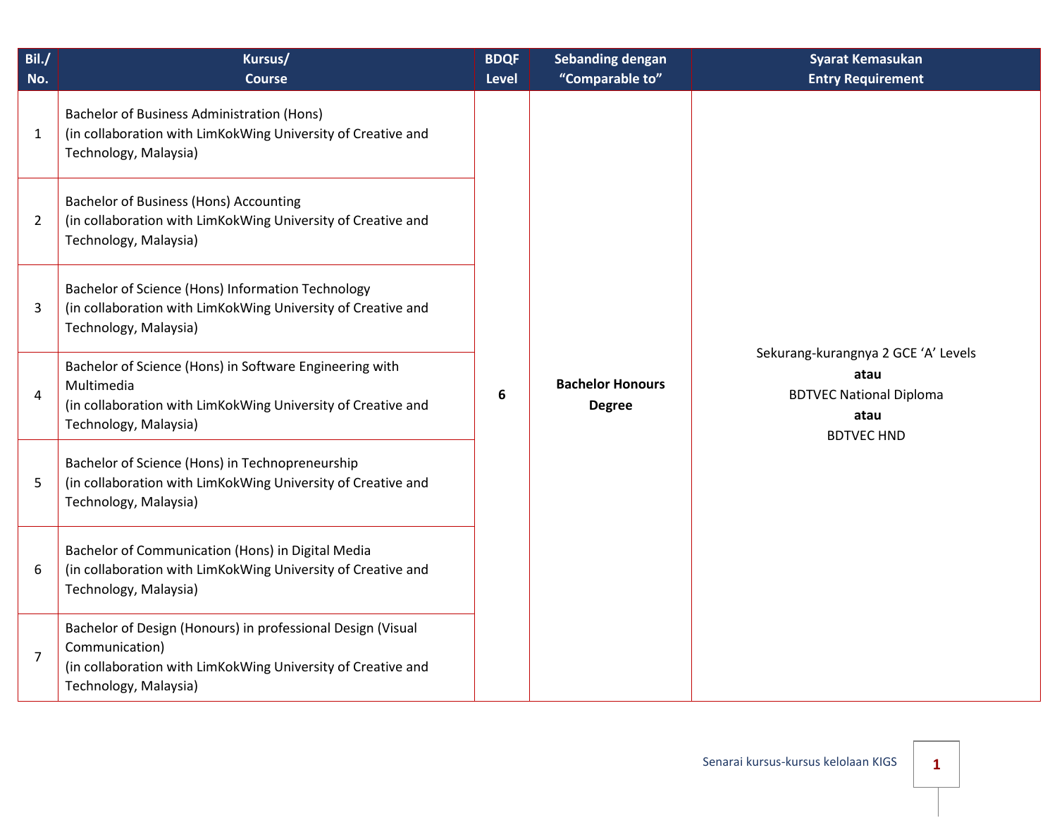| Bil./<br>No.   | Kursus/<br><b>Course</b>                                                                                                                                               | <b>BDQF</b><br><b>Level</b> | <b>Sebanding dengan</b><br>"Comparable to" | <b>Syarat Kemasukan</b><br><b>Entry Requirement</b>                                                        |
|----------------|------------------------------------------------------------------------------------------------------------------------------------------------------------------------|-----------------------------|--------------------------------------------|------------------------------------------------------------------------------------------------------------|
| $\mathbf{1}$   | <b>Bachelor of Business Administration (Hons)</b><br>(in collaboration with LimKokWing University of Creative and<br>Technology, Malaysia)                             |                             |                                            |                                                                                                            |
| $\overline{2}$ | <b>Bachelor of Business (Hons) Accounting</b><br>(in collaboration with LimKokWing University of Creative and<br>Technology, Malaysia)                                 |                             |                                            |                                                                                                            |
| 3              | Bachelor of Science (Hons) Information Technology<br>(in collaboration with LimKokWing University of Creative and<br>Technology, Malaysia)                             |                             |                                            |                                                                                                            |
| $\overline{4}$ | Bachelor of Science (Hons) in Software Engineering with<br>Multimedia<br>(in collaboration with LimKokWing University of Creative and<br>Technology, Malaysia)         | 6                           | <b>Bachelor Honours</b><br><b>Degree</b>   | Sekurang-kurangnya 2 GCE 'A' Levels<br>atau<br><b>BDTVEC National Diploma</b><br>atau<br><b>BDTVEC HND</b> |
| 5              | Bachelor of Science (Hons) in Technopreneurship<br>(in collaboration with LimKokWing University of Creative and<br>Technology, Malaysia)                               |                             |                                            |                                                                                                            |
| 6              | Bachelor of Communication (Hons) in Digital Media<br>(in collaboration with LimKokWing University of Creative and<br>Technology, Malaysia)                             |                             |                                            |                                                                                                            |
| $\overline{7}$ | Bachelor of Design (Honours) in professional Design (Visual<br>Communication)<br>(in collaboration with LimKokWing University of Creative and<br>Technology, Malaysia) |                             |                                            |                                                                                                            |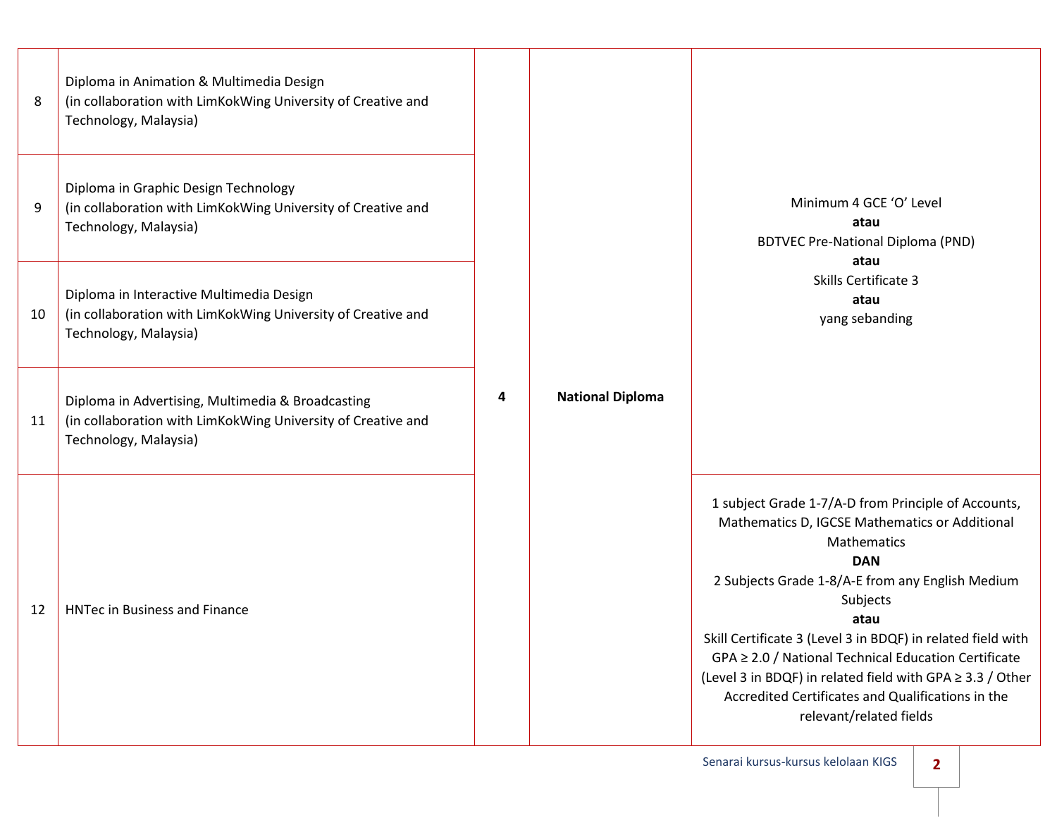| 8<br>9 | Diploma in Animation & Multimedia Design<br>(in collaboration with LimKokWing University of Creative and<br>Technology, Malaysia)<br>Diploma in Graphic Design Technology<br>(in collaboration with LimKokWing University of Creative and<br>Technology, Malaysia) |   | <b>National Diploma</b> | Minimum 4 GCE 'O' Level<br>atau<br><b>BDTVEC Pre-National Diploma (PND)</b><br>atau<br>Skills Certificate 3<br>atau<br>yang sebanding                                                                                                                                                                                                                                                                                                                                          |
|--------|--------------------------------------------------------------------------------------------------------------------------------------------------------------------------------------------------------------------------------------------------------------------|---|-------------------------|--------------------------------------------------------------------------------------------------------------------------------------------------------------------------------------------------------------------------------------------------------------------------------------------------------------------------------------------------------------------------------------------------------------------------------------------------------------------------------|
| 10     | Diploma in Interactive Multimedia Design<br>(in collaboration with LimKokWing University of Creative and<br>Technology, Malaysia)                                                                                                                                  |   |                         |                                                                                                                                                                                                                                                                                                                                                                                                                                                                                |
| 11     | Diploma in Advertising, Multimedia & Broadcasting<br>(in collaboration with LimKokWing University of Creative and<br>Technology, Malaysia)                                                                                                                         | 4 |                         |                                                                                                                                                                                                                                                                                                                                                                                                                                                                                |
| 12     | <b>HNTec in Business and Finance</b>                                                                                                                                                                                                                               |   |                         | 1 subject Grade 1-7/A-D from Principle of Accounts,<br>Mathematics D, IGCSE Mathematics or Additional<br>Mathematics<br><b>DAN</b><br>2 Subjects Grade 1-8/A-E from any English Medium<br>Subjects<br>atau<br>Skill Certificate 3 (Level 3 in BDQF) in related field with<br>GPA ≥ 2.0 / National Technical Education Certificate<br>(Level 3 in BDQF) in related field with GPA ≥ 3.3 / Other<br>Accredited Certificates and Qualifications in the<br>relevant/related fields |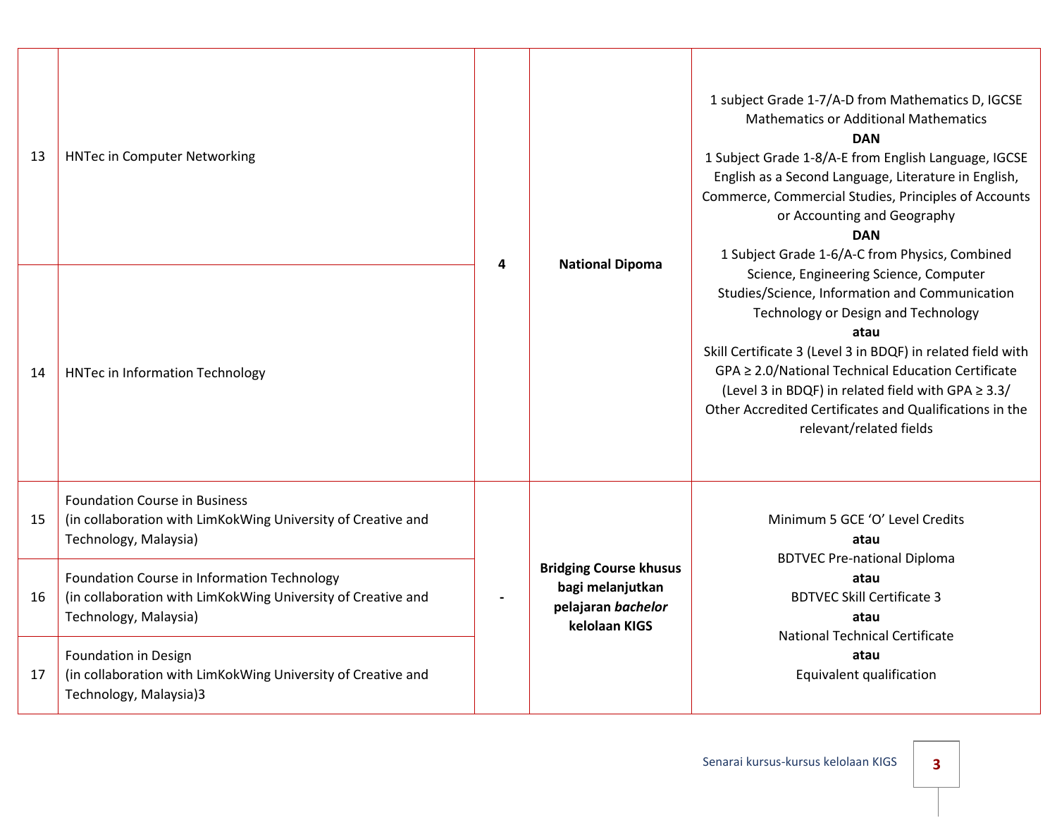| 13 | <b>HNTec in Computer Networking</b>                                                                                                  |   | <b>National Dipoma</b>                                                                   | 1 subject Grade 1-7/A-D from Mathematics D, IGCSE<br><b>Mathematics or Additional Mathematics</b><br><b>DAN</b><br>1 Subject Grade 1-8/A-E from English Language, IGCSE<br>English as a Second Language, Literature in English,<br>Commerce, Commercial Studies, Principles of Accounts<br>or Accounting and Geography<br><b>DAN</b><br>1 Subject Grade 1-6/A-C from Physics, Combined                   |
|----|--------------------------------------------------------------------------------------------------------------------------------------|---|------------------------------------------------------------------------------------------|----------------------------------------------------------------------------------------------------------------------------------------------------------------------------------------------------------------------------------------------------------------------------------------------------------------------------------------------------------------------------------------------------------|
| 14 | <b>HNTec in Information Technology</b>                                                                                               | 4 |                                                                                          | Science, Engineering Science, Computer<br>Studies/Science, Information and Communication<br>Technology or Design and Technology<br>atau<br>Skill Certificate 3 (Level 3 in BDQF) in related field with<br>GPA ≥ 2.0/National Technical Education Certificate<br>(Level 3 in BDQF) in related field with GPA ≥ 3.3/<br>Other Accredited Certificates and Qualifications in the<br>relevant/related fields |
| 15 | <b>Foundation Course in Business</b><br>(in collaboration with LimKokWing University of Creative and<br>Technology, Malaysia)        |   | <b>Bridging Course khusus</b><br>bagi melanjutkan<br>pelajaran bachelor<br>kelolaan KIGS | Minimum 5 GCE 'O' Level Credits<br>atau<br><b>BDTVEC Pre-national Diploma</b><br>atau<br><b>BDTVEC Skill Certificate 3</b><br>atau<br><b>National Technical Certificate</b><br>atau<br>Equivalent qualification                                                                                                                                                                                          |
| 16 | Foundation Course in Information Technology<br>(in collaboration with LimKokWing University of Creative and<br>Technology, Malaysia) |   |                                                                                          |                                                                                                                                                                                                                                                                                                                                                                                                          |
| 17 | Foundation in Design<br>(in collaboration with LimKokWing University of Creative and<br>Technology, Malaysia)3                       |   |                                                                                          |                                                                                                                                                                                                                                                                                                                                                                                                          |